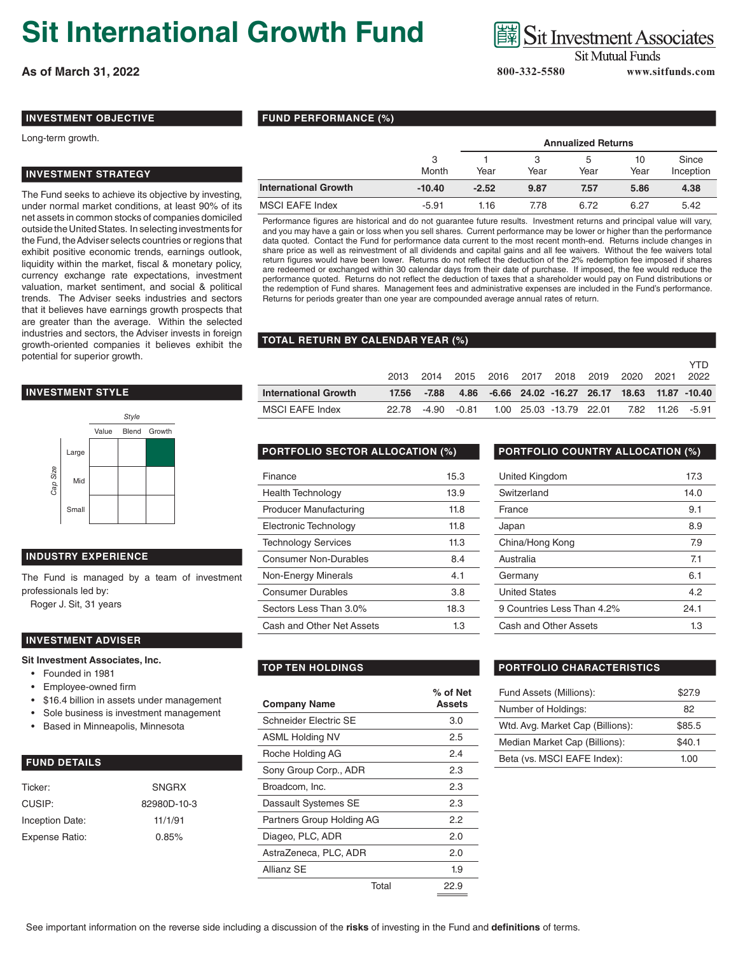# **Sit International Growth Fund**

**As of March 31, 2022 800-332-5580 www.sitfunds.com**

## **Sit Investment Associates**

**Sit Mutual Funds** 

## **INVESTMENT OBJECTIVE**

#### Long-term growth.

#### **INVESTMENT STRATEGY**

The Fund seeks to achieve its objective by investing, under normal market conditions, at least 90% of its net assets in common stocks of companies domiciled outside the United States. In selecting investments for the Fund, the Adviser selects countries or regions that exhibit positive economic trends, earnings outlook, liquidity within the market, fiscal & monetary policy, currency exchange rate expectations, investment valuation, market sentiment, and social & political trends. The Adviser seeks industries and sectors that it believes have earnings growth prospects that are greater than the average. Within the selected industries and sectors, the Adviser invests in foreign growth-oriented companies it believes exhibit the potential for superior growth.

### **INVESTMENT STYLE**



#### **INDUSTRY EXPERIENCE**

The Fund is managed by a team of investment professionals led by:

Roger J. Sit, 31 years

#### **INVESTMENT ADVISER**

#### **Sit Investment Associates, Inc.**

- Founded in 1981
- Employee-owned firm
- \$16.4 billion in assets under management
- Sole business is investment management
- Based in Minneapolis, Minnesota

### **FUND DETAILS**

| Ticker:         | <b>SNGRX</b> |
|-----------------|--------------|
| CUSIP:          | 82980D-10-3  |
| Inception Date: | 11/1/91      |
| Expense Ratio:  | 0.85%        |
|                 |              |

|  | <b>FUND PERFORMANCE (%)</b> |  |
|--|-----------------------------|--|
|--|-----------------------------|--|

|                             |            | <b>Annualized Returns</b> |      |           |            |                    |  |
|-----------------------------|------------|---------------------------|------|-----------|------------|--------------------|--|
|                             | 3<br>Month | Year                      | Year | b<br>Year | 10<br>Year | Since<br>Inception |  |
| <b>International Growth</b> | $-10.40$   | $-2.52$                   | 9.87 | 7.57      | 5.86       | 4.38               |  |
| <b>MSCI EAFE Index</b>      | $-5.91$    | 1.16                      | 7.78 | 6.72      | 6.27       | 5.42               |  |

Performance figures are historical and do not guarantee future results. Investment returns and principal value will vary, and you may have a gain or loss when you sell shares. Current performance may be lower or higher than the performance data quoted. Contact the Fund for performance data current to the most recent month-end. Returns include changes in share price as well as reinvestment of all dividends and capital gains and all fee waivers. Without the fee waivers total return figures would have been lower. Returns do not reflect the deduction of the 2% redemption fee imposed if shares are redeemed or exchanged within 30 calendar days from their date of purchase. If imposed, the fee would reduce the performance quoted. Returns do not reflect the deduction of taxes that a shareholder would pay on Fund distributions or the redemption of Fund shares. Management fees and administrative expenses are included in the Fund's performance. Returns for periods greater than one year are compounded average annual rates of return.

#### **TOTAL RETURN BY CALENDAR YEAR (%)**

|                             | - 2014      |  | 2015 2016 2017 2018 2019 2020 2021 |  | 2022                                             |
|-----------------------------|-------------|--|------------------------------------|--|--------------------------------------------------|
| <b>International Growth</b> | 17.56 -7.88 |  |                                    |  | 4.86 -6.66 24.02 -16.27 26.17 18.63 11.87 -10.40 |
|                             |             |  |                                    |  |                                                  |

| Finance                       | 15.3 |
|-------------------------------|------|
| <b>Health Technology</b>      | 13.9 |
| <b>Producer Manufacturing</b> | 11.8 |
| Electronic Technology         | 11.8 |
| <b>Technology Services</b>    | 11.3 |
| <b>Consumer Non-Durables</b>  | 8.4  |
| Non-Energy Minerals           | 4.1  |
| <b>Consumer Durables</b>      | 3.8  |
| Sectors Less Than 3.0%        | 18.3 |
| Cash and Other Net Assets     | 1.3  |

#### **PORTFOLIO SECTOR ALLOCATION (%) PORTFOLIO COUNTRY ALLOCATION (%)**

| United Kingdom             | 17.3 |
|----------------------------|------|
| Switzerland                | 14.0 |
| France                     | 9.1  |
| Japan                      | 8.9  |
| China/Hong Kong            | 7.9  |
| Australia                  | 7.1  |
| Germany                    | 6.1  |
| <b>United States</b>       | 4.2  |
| 9 Countries Less Than 4.2% | 24.1 |
| Cash and Other Assets      | 1.3  |

| <b>Company Name</b>       | % of Net<br>Assets |
|---------------------------|--------------------|
| Schneider Flectric SF     | 3.0                |
| <b>ASML Holding NV</b>    | 2.5                |
| Roche Holding AG          | 24                 |
| Sony Group Corp., ADR     | 2.3                |
| Broadcom, Inc.            | 2.3                |
| Dassault Systemes SE      | 2.3                |
| Partners Group Holding AG | 2.2                |
| Diageo, PLC, ADR          | 2.0                |
| AstraZeneca, PLC, ADR     | 2.0                |
| Allianz SE                | 1.9                |
| Total                     | 22.9               |

#### **TOP TEN HOLDINGS PORTFOLIO CHARACTERISTICS**

| \$27.9 |
|--------|
| 82     |
| \$85.5 |
| \$40.1 |
| 1.00   |
|        |